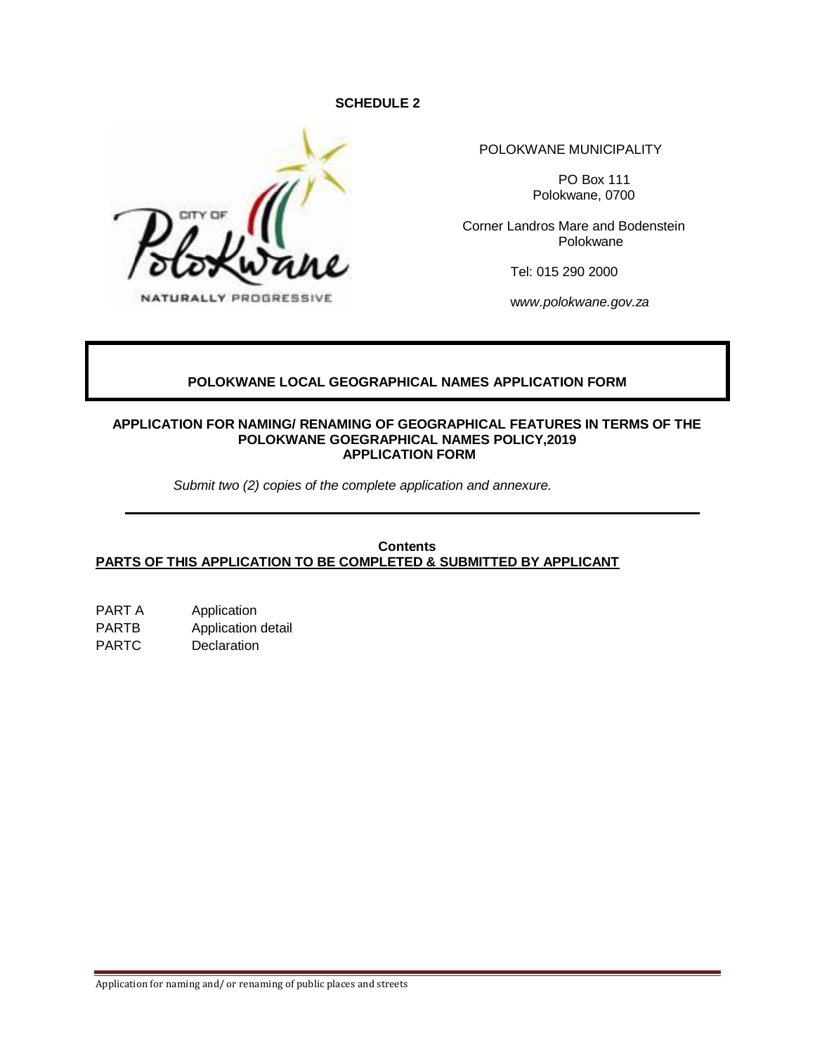#### **SCHEDULE 2**



POLOKWANE MUNICIPALITY

PO Box 111 Polokwane, 0700

Corner Landros Mare and Bodenstein Polokwane

Tel: 015 290 2000

w*ww.polokwane.gov.za*

### **POLOKWANE LOCAL GEOGRAPHICAL NAMES APPLICATION FORM**

#### **APPLICATION FOR NAMING/ RENAMING OF GEOGRAPHICAL FEATURES IN TERMS OF THE POLOKWANE GOEGRAPHICAL NAMES POLICY,2019 APPLICATION FORM**

 *Submit two (2) copies of the complete application and annexure.*

#### **Contents PARTS OF THIS APPLICATION TO BE COMPLETED & SUBMITTED BY APPLICANT**

PART A Application PARTB Application detail PARTC Declaration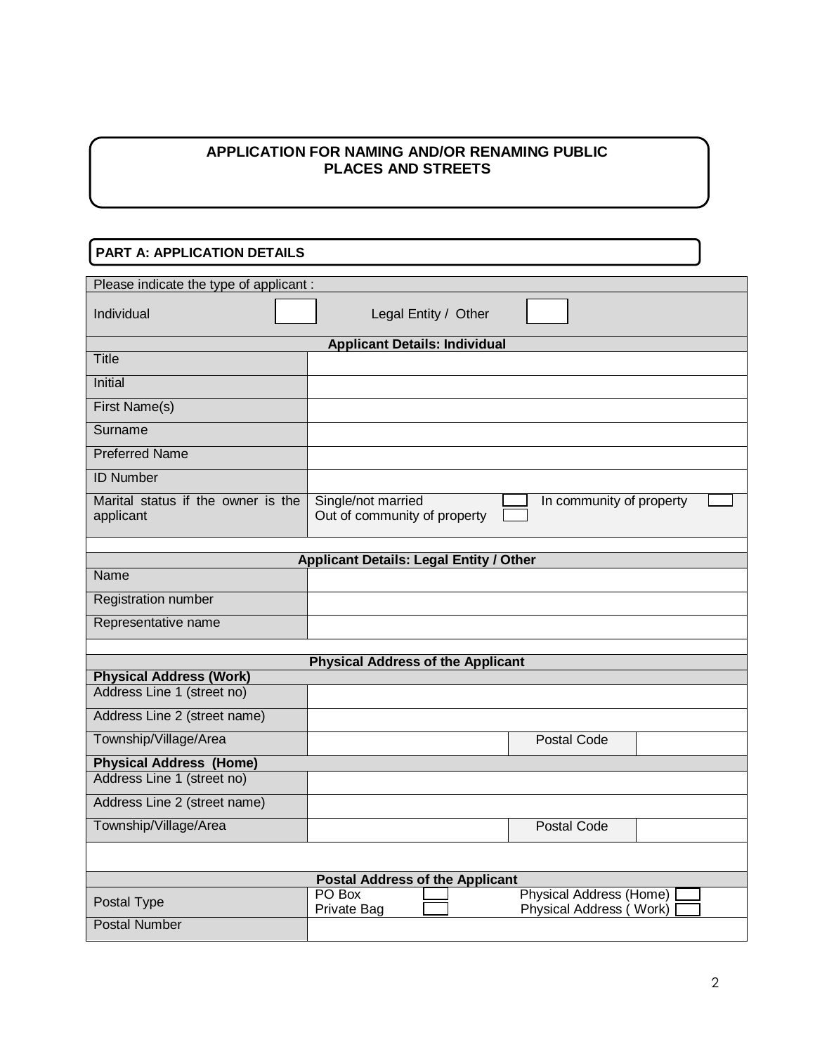### **APPLICATION FOR NAMING AND/OR RENAMING PUBLIC PLACES AND STREETS**

### **PART A: APPLICATION DETAILS**

| Please indicate the type of applicant :                      |                                                                                    |
|--------------------------------------------------------------|------------------------------------------------------------------------------------|
| Individual                                                   | Legal Entity / Other                                                               |
|                                                              | <b>Applicant Details: Individual</b>                                               |
| Title                                                        |                                                                                    |
| Initial                                                      |                                                                                    |
| First Name(s)                                                |                                                                                    |
| Surname                                                      |                                                                                    |
| <b>Preferred Name</b>                                        |                                                                                    |
| <b>ID Number</b>                                             |                                                                                    |
| Marital status if the owner is the<br>applicant              | Single/not married<br>In community of property<br>Out of community of property     |
|                                                              | <b>Applicant Details: Legal Entity / Other</b>                                     |
| Name                                                         |                                                                                    |
| <b>Registration number</b>                                   |                                                                                    |
| Representative name                                          |                                                                                    |
|                                                              |                                                                                    |
|                                                              | <b>Physical Address of the Applicant</b>                                           |
| <b>Physical Address (Work)</b><br>Address Line 1 (street no) |                                                                                    |
|                                                              |                                                                                    |
| Address Line 2 (street name)                                 |                                                                                    |
| Township/Village/Area                                        | Postal Code                                                                        |
| <b>Physical Address (Home)</b>                               |                                                                                    |
| Address Line 1 (street no)                                   |                                                                                    |
| Address Line 2 (street name)                                 |                                                                                    |
| Township/Village/Area                                        | <b>Postal Code</b>                                                                 |
|                                                              |                                                                                    |
|                                                              | <b>Postal Address of the Applicant</b>                                             |
| Postal Type                                                  | PO Box<br><b>Physical Address (Home)</b><br>Physical Address (Work)<br>Private Bag |
| <b>Postal Number</b>                                         |                                                                                    |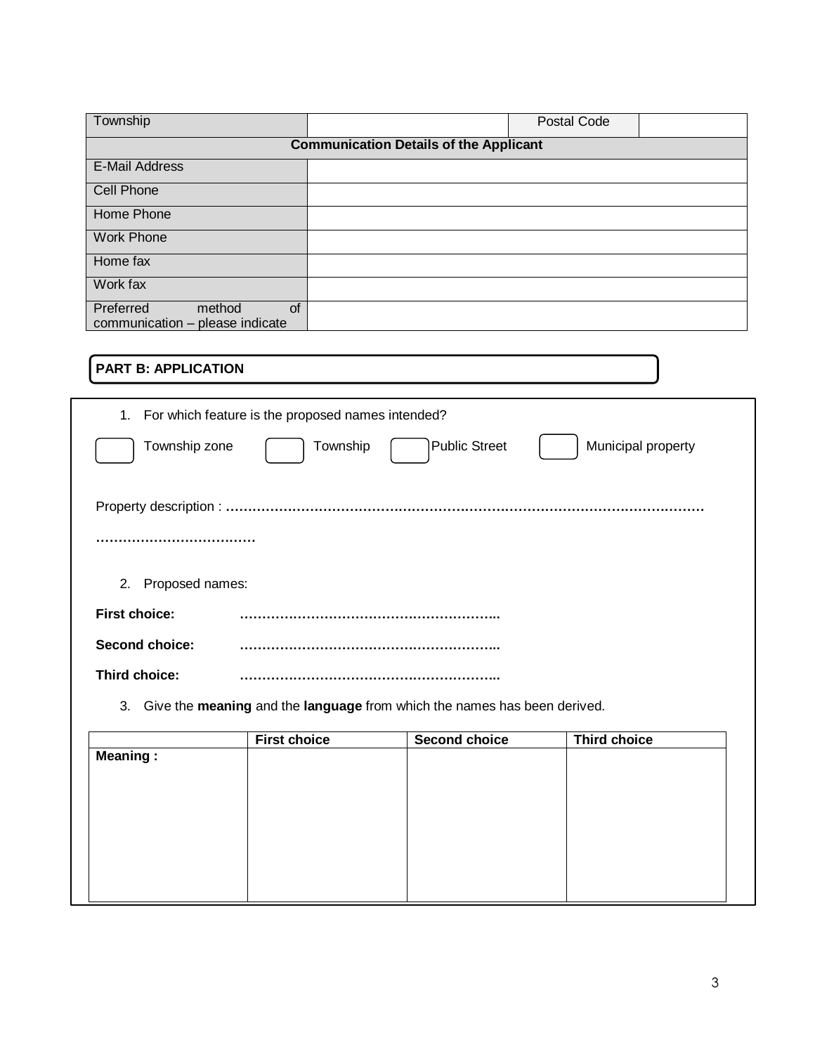| Township                                                     | Postal Code                                   |
|--------------------------------------------------------------|-----------------------------------------------|
|                                                              | <b>Communication Details of the Applicant</b> |
| <b>E-Mail Address</b>                                        |                                               |
| Cell Phone                                                   |                                               |
| <b>Home Phone</b>                                            |                                               |
| <b>Work Phone</b>                                            |                                               |
| Home fax                                                     |                                               |
| Work fax                                                     |                                               |
| of<br>Preferred<br>method<br>communication - please indicate |                                               |

## **PART B: APPLICATION**

|                       | 1. For which feature is the proposed names intended?                     |
|-----------------------|--------------------------------------------------------------------------|
| Township zone         | Public Street<br>Township<br>Municipal property                          |
|                       |                                                                          |
|                       |                                                                          |
| Proposed names:<br>2. |                                                                          |
| <b>First choice:</b>  |                                                                          |
| <b>Second choice:</b> |                                                                          |
| Third choice:         |                                                                          |
| 3.                    | Give the meaning and the language from which the names has been derived. |

| <b>First choice</b> | <b>Second choice</b> | <b>Third choice</b> |
|---------------------|----------------------|---------------------|
|                     |                      |                     |
|                     |                      |                     |
|                     |                      |                     |
|                     |                      |                     |
|                     |                      |                     |
|                     |                      |                     |
|                     |                      |                     |
|                     |                      |                     |
|                     |                      |                     |
|                     |                      |                     |
|                     |                      |                     |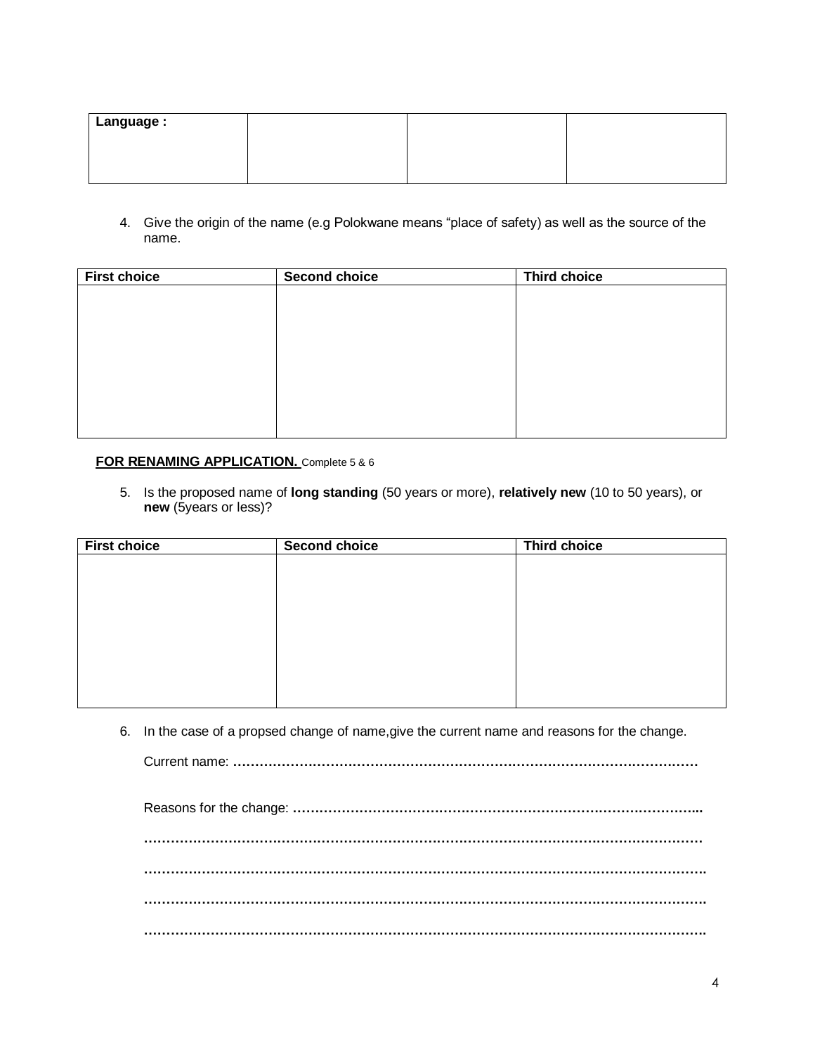| Language: |  |  |
|-----------|--|--|
|           |  |  |

4. Give the origin of the name (e.g Polokwane means "place of safety) as well as the source of the name.

| <b>First choice</b> | <b>Second choice</b> | <b>Third choice</b> |
|---------------------|----------------------|---------------------|
|                     |                      |                     |
|                     |                      |                     |
|                     |                      |                     |
|                     |                      |                     |
|                     |                      |                     |
|                     |                      |                     |
|                     |                      |                     |
|                     |                      |                     |
|                     |                      |                     |

#### **FOR RENAMING APPLICATION.** Complete 5 & 6

5. Is the proposed name of **long standing** (50 years or more), **relatively new** (10 to 50 years), or **new** (5years or less)?

| <b>First choice</b> | Second choice | <b>Third choice</b> |  |
|---------------------|---------------|---------------------|--|
|                     |               |                     |  |
|                     |               |                     |  |
|                     |               |                     |  |
|                     |               |                     |  |
|                     |               |                     |  |
|                     |               |                     |  |
|                     |               |                     |  |
|                     |               |                     |  |
|                     |               |                     |  |

6. In the case of a propsed change of name,give the current name and reasons for the change.

Current name: **……………………………………………………………………………………………**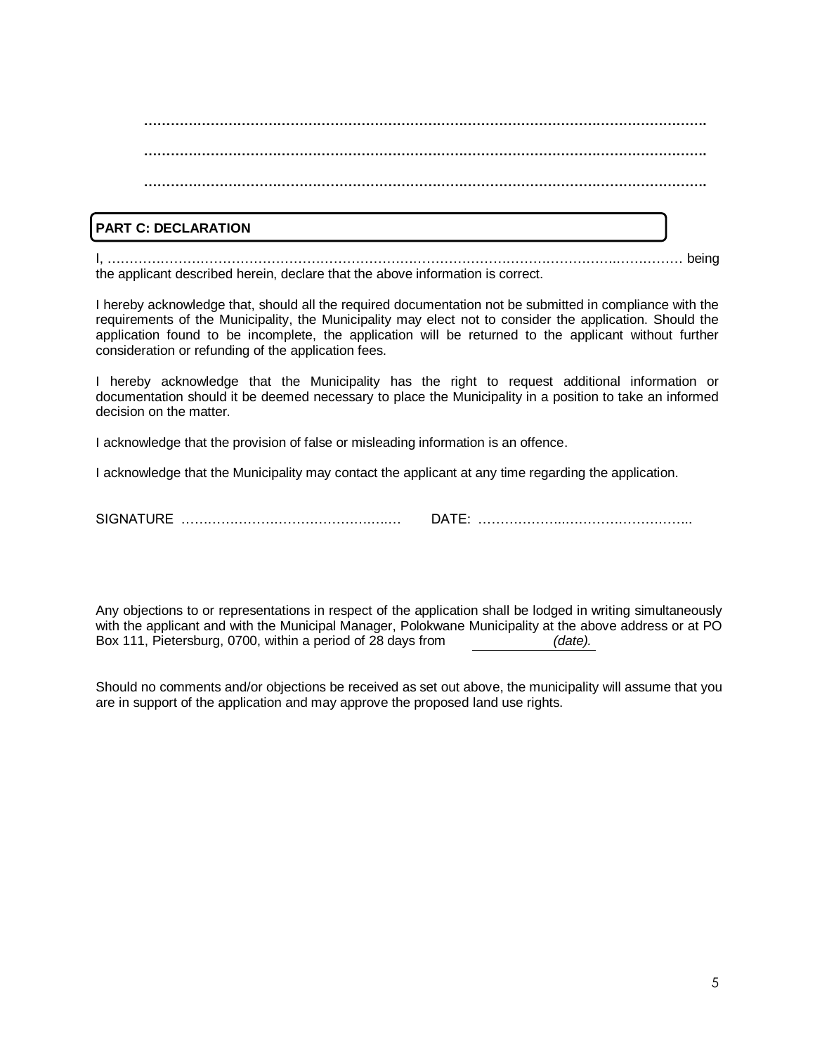# **………………………………………………………………………………………………………………. ………………………………………………………………………………………………………………. ……………………………………………………………………………………………………………….**

### **PART C: DECLARATION**

I, …………………………………………………………………………………………………….…………… being the applicant described herein, declare that the above information is correct.

I hereby acknowledge that, should all the required documentation not be submitted in compliance with the requirements of the Municipality, the Municipality may elect not to consider the application. Should the application found to be incomplete, the application will be returned to the applicant without further consideration or refunding of the application fees.

I hereby acknowledge that the Municipality has the right to request additional information or documentation should it be deemed necessary to place the Municipality in a position to take an informed decision on the matter.

I acknowledge that the provision of false or misleading information is an offence.

I acknowledge that the Municipality may contact the applicant at any time regarding the application.

SIGNATURE …………………………………….….… DATE: ………………..………………………..

Any objections to or representations in respect of the application shall be lodged in writing simultaneously with the applicant and with the Municipal Manager, Polokwane Municipality at the above address or at PO Box 111, Pietersburg, 0700, within a period of 28 days from *(date).*

Should no comments and/or objections be received as set out above, the municipality will assume that you are in support of the application and may approve the proposed land use rights.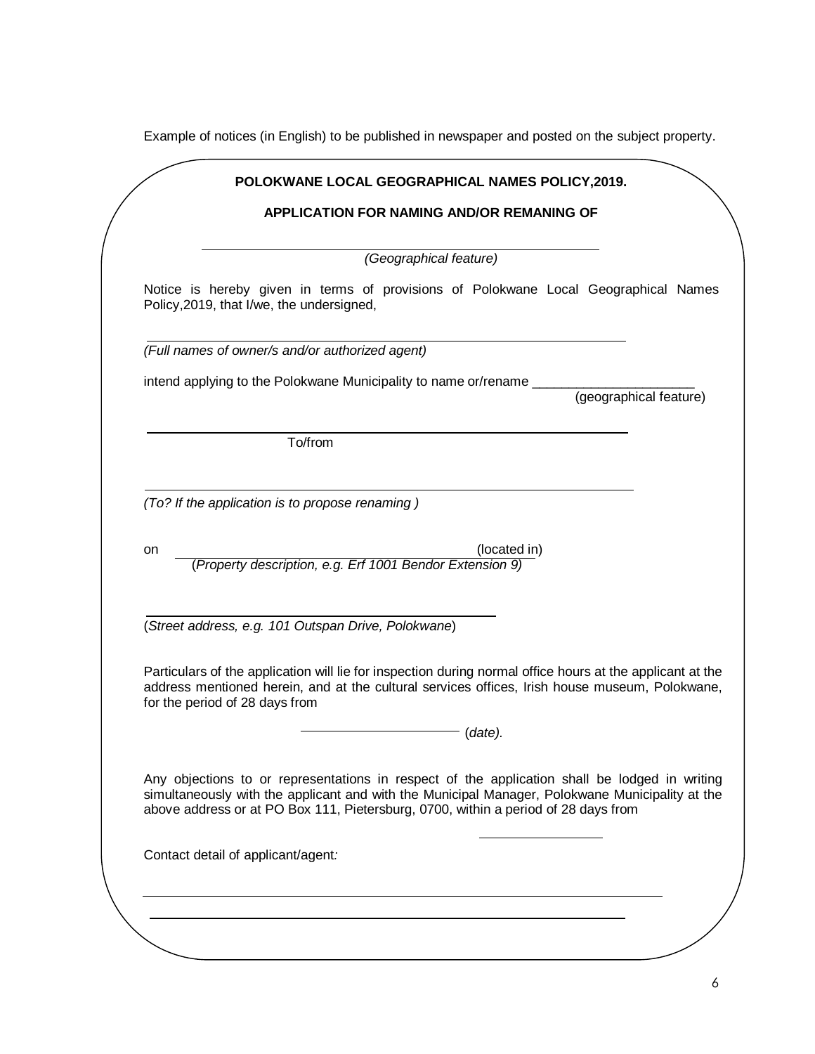Example of notices (in English) to be published in newspaper and posted on the subject property.

|    | <b>APPLICATION FOR NAMING AND/OR REMANING OF</b>                                                                                 |
|----|----------------------------------------------------------------------------------------------------------------------------------|
|    |                                                                                                                                  |
|    | (Geographical feature)                                                                                                           |
|    | Notice is hereby given in terms of provisions of Polokwane Local Geographical Names<br>Policy, 2019, that I/we, the undersigned, |
|    | (Full names of owner/s and/or authorized agent)                                                                                  |
|    | intend applying to the Polokwane Municipality to name or/rename _                                                                |
|    | (geographical feature)                                                                                                           |
|    |                                                                                                                                  |
|    | To/from                                                                                                                          |
|    |                                                                                                                                  |
|    | (To? If the application is to propose renaming)                                                                                  |
|    |                                                                                                                                  |
| on | (located in)                                                                                                                     |
|    | (Property description, e.g. Erf 1001 Bendor Extension 9)                                                                         |
|    |                                                                                                                                  |
|    | (Street address, e.g. 101 Outspan Drive, Polokwane)                                                                              |
|    |                                                                                                                                  |
|    | Particulars of the application will lie for inspection during normal office hours at the applicant at the                        |
|    | address mentioned herein, and at the cultural services offices, Irish house museum, Polokwane,<br>for the period of 28 days from |
|    |                                                                                                                                  |
|    | (data).                                                                                                                          |
|    | Any objections to or representations in respect of the application shall be lodged in writing                                    |
|    | simultaneously with the applicant and with the Municipal Manager, Polokwane Municipality at the                                  |
|    | above address or at PO Box 111, Pietersburg, 0700, within a period of 28 days from                                               |
|    |                                                                                                                                  |
|    | Contact detail of applicant/agent:                                                                                               |
|    |                                                                                                                                  |
|    |                                                                                                                                  |